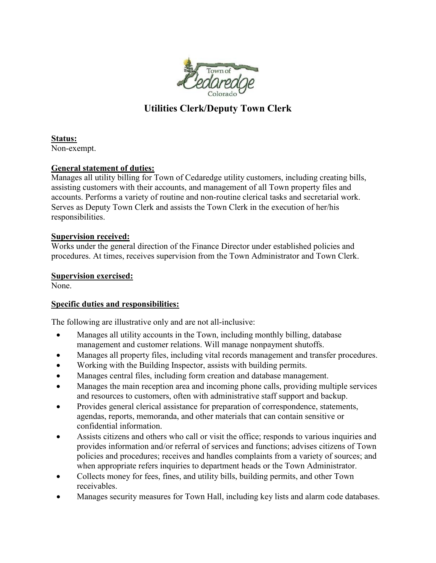

# **Utilities Clerk/Deputy Town Clerk**

**Status:** Non-exempt.

## **General statement of duties:**

Manages all utility billing for Town of Cedaredge utility customers, including creating bills, assisting customers with their accounts, and management of all Town property files and accounts. Performs a variety of routine and non-routine clerical tasks and secretarial work. Serves as Deputy Town Clerk and assists the Town Clerk in the execution of her/his responsibilities.

#### **Supervision received:**

Works under the general direction of the Finance Director under established policies and procedures. At times, receives supervision from the Town Administrator and Town Clerk.

#### **Supervision exercised:**

None.

## **Specific duties and responsibilities:**

The following are illustrative only and are not all-inclusive:

- Manages all utility accounts in the Town, including monthly billing, database management and customer relations. Will manage nonpayment shutoffs.
- Manages all property files, including vital records management and transfer procedures.
- Working with the Building Inspector, assists with building permits.
- Manages central files, including form creation and database management.
- Manages the main reception area and incoming phone calls, providing multiple services and resources to customers, often with administrative staff support and backup.
- Provides general clerical assistance for preparation of correspondence, statements, agendas, reports, memoranda, and other materials that can contain sensitive or confidential information.
- Assists citizens and others who call or visit the office; responds to various inquiries and provides information and/or referral of services and functions; advises citizens of Town policies and procedures; receives and handles complaints from a variety of sources; and when appropriate refers inquiries to department heads or the Town Administrator.
- Collects money for fees, fines, and utility bills, building permits, and other Town receivables.
- Manages security measures for Town Hall, including key lists and alarm code databases.